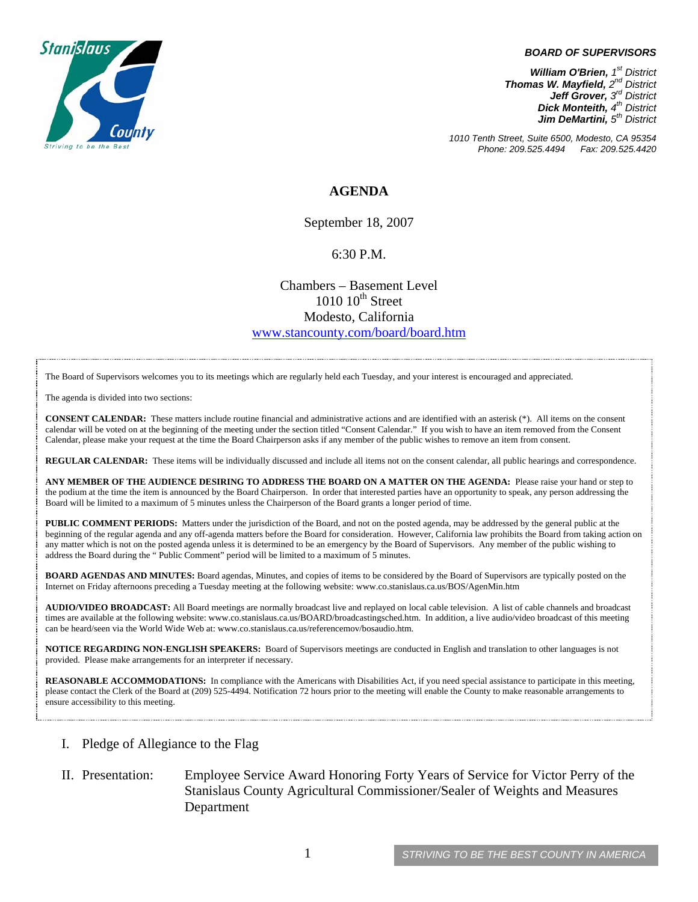

#### *BOARD OF SUPERVISORS*

*William O'Brien, 1st District Thomas W. Mayfield, 2nd District Jeff Grover, 3rd District Dick Monteith, 4th District Jim DeMartini, 5th District*

*1010 Tenth Street, Suite 6500, Modesto, CA 95354 Phone: 209.525.4494 Fax: 209.525.4420* 

## **AGENDA**

September 18, 2007

### 6:30 P.M.

Chambers – Basement Level  $1010~10^{\text{th}}$  Street Modesto, California [www.stancounty.com/board/board.htm](http://www.stancounty.com/board/board.htm)

The Board of Supervisors welcomes you to its meetings which are regularly held each Tuesday, and your interest is encouraged and appreciated.

The agenda is divided into two sections:

**CONSENT CALENDAR:** These matters include routine financial and administrative actions and are identified with an asterisk (\*). All items on the consent calendar will be voted on at the beginning of the meeting under the section titled "Consent Calendar." If you wish to have an item removed from the Consent Calendar, please make your request at the time the Board Chairperson asks if any member of the public wishes to remove an item from consent.

**REGULAR CALENDAR:** These items will be individually discussed and include all items not on the consent calendar, all public hearings and correspondence.

**ANY MEMBER OF THE AUDIENCE DESIRING TO ADDRESS THE BOARD ON A MATTER ON THE AGENDA:** Please raise your hand or step to the podium at the time the item is announced by the Board Chairperson. In order that interested parties have an opportunity to speak, any person addressing the Board will be limited to a maximum of 5 minutes unless the Chairperson of the Board grants a longer period of time.

**PUBLIC COMMENT PERIODS:** Matters under the jurisdiction of the Board, and not on the posted agenda, may be addressed by the general public at the beginning of the regular agenda and any off-agenda matters before the Board for consideration. However, California law prohibits the Board from taking action on any matter which is not on the posted agenda unless it is determined to be an emergency by the Board of Supervisors. Any member of the public wishing to address the Board during the " Public Comment" period will be limited to a maximum of 5 minutes.

**BOARD AGENDAS AND MINUTES:** Board agendas, Minutes, and copies of items to be considered by the Board of Supervisors are typically posted on the Internet on Friday afternoons preceding a Tuesday meeting at the following website: [www.co.stanislaus.ca.us/BOS/AgenMin.htm](http://www.co.stanislaus.ca.us/BOS/AgenMin.htm) 

**AUDIO/VIDEO BROADCAST:** All Board meetings are normally broadcast live and replayed on local cable television. A list of cable channels and broadcast times are available at the following website: [www.co.stanislaus.ca.us/BOARD/broadcastingsched.htm](http://www.co.stanislaus.ca.us/BOARD/broadcastingsched.htm). In addition, a live audio/video broadcast of this meeting can be heard/seen via the World Wide Web at: [www.co.stanislaus.ca.us/referencemov/bosaudio.htm.](http://www.co.stanislaus.ca.us/referencemov/bosaudio.htm)

**NOTICE REGARDING NON-ENGLISH SPEAKERS:** Board of Supervisors meetings are conducted in English and translation to other languages is not provided. Please make arrangements for an interpreter if necessary.

**REASONABLE ACCOMMODATIONS:** In compliance with the Americans with Disabilities Act, if you need special assistance to participate in this meeting, please contact the Clerk of the Board at (209) 525-4494. Notification 72 hours prior to the meeting will enable the County to make reasonable arrangements to ensure accessibility to this meeting.

#### I. Pledge of Allegiance to the Flag

II. Presentation: Employee Service Award Honoring Forty Years of Service for Victor Perry of the Stanislaus County Agricultural Commissioner/Sealer of Weights and Measures Department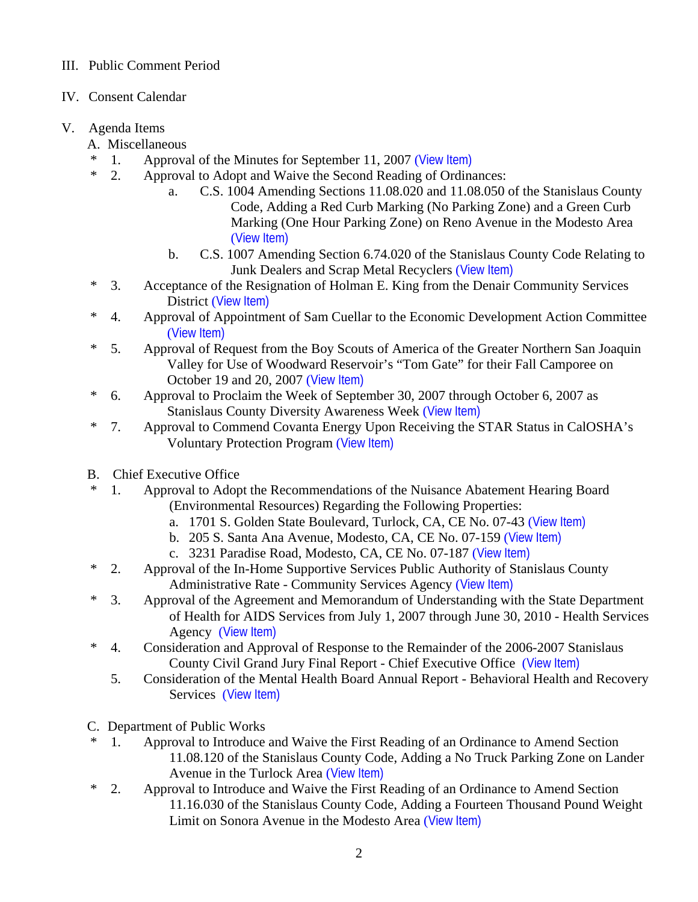## III. Public Comment Period

IV. Consent Calendar

# V. Agenda Items

- A. Miscellaneous
- \* 1. Approval of the Minutes for September 11, 2007 ([View Item\)](http://www.co.stanislaus.ca.us/bos/minutes/2007/min09-11-07.pdf)
- \* 2. Approval to Adopt and Waive the Second Reading of Ordinances:
	- a. C.S. 1004 Amending Sections 11.08.020 and 11.08.050 of the Stanislaus County Code, Adding a Red Curb Marking (No Parking Zone) and a Green Curb Marking (One Hour Parking Zone) on Reno Avenue in the Modesto Area ([View Item\)](http://www.co.stanislaus.ca.us/bos/agenda/2007/20070918/A02a.pdf)
	- b. C.S. 1007 Amending Section 6.74.020 of the Stanislaus County Code Relating to Junk Dealers and Scrap Metal Recyclers ([View Item\)](http://www.co.stanislaus.ca.us/bos/agenda/2007/20070918/A02b.pdf)
- \* 3. Acceptance of the Resignation of Holman E. King from the Denair Community Services District ([View Item\)](http://www.co.stanislaus.ca.us/bos/agenda/2007/20070918/A03.pdf)
- \* 4. Approval of Appointment of Sam Cuellar to the Economic Development Action Committee ([View Item\)](http://www.co.stanislaus.ca.us/bos/agenda/2007/20070918/A04.pdf)
- \* 5. Approval of Request from the Boy Scouts of America of the Greater Northern San Joaquin Valley for Use of Woodward Reservoir's "Tom Gate" for their Fall Camporee on October 19 and 20, 2007 ([View Item\)](http://www.co.stanislaus.ca.us/bos/agenda/2007/20070918/A05.pdf)
- \* 6. Approval to Proclaim the Week of September 30, 2007 through October 6, 2007 as Stanislaus County Diversity Awareness Week ([View Item\)](http://www.co.stanislaus.ca.us/bos/agenda/2007/20070918/A06.pdf)
- \* 7. Approval to Commend Covanta Energy Upon Receiving the STAR Status in CalOSHA's Voluntary Protection Program ([View Item\)](http://www.co.stanislaus.ca.us/bos/agenda/2007/20070918/A07.pdf)
- B. Chief Executive Office
- \* 1. Approval to Adopt the Recommendations of the Nuisance Abatement Hearing Board (Environmental Resources) Regarding the Following Properties:
	- a. 1701 S. Golden State Boulevard, Turlock, CA, CE No. 07-43 ([View Item\)](http://www.co.stanislaus.ca.us/bos/agenda/2007/20070918/B01a.pdf)
	- b. 205 S. Santa Ana Avenue, Modesto, CA, CE No. 07-159 ([View Item\)](http://www.co.stanislaus.ca.us/bos/agenda/2007/20070918/B01b.pdf)
	- c. 3231 Paradise Road, Modesto, CA, CE No. 07-187 ([View Item\)](http://www.co.stanislaus.ca.us/bos/agenda/2007/20070918/B01c.pdf)
- \* 2. Approval of the In-Home Supportive Services Public Authority of Stanislaus County Administrative Rate - Community Services Agency ([View Item\)](http://www.co.stanislaus.ca.us/bos/agenda/2007/20070918/B02.pdf)
- \* 3. Approval of the Agreement and Memorandum of Understanding with the State Department of Health for AIDS Services from July 1, 2007 through June 30, 2010 - Health Services Agency ([View Item\)](http://www.co.stanislaus.ca.us/bos/agenda/2007/20070918/B03.pdf)
- \* 4. Consideration and Approval of Response to the Remainder of the 2006-2007 Stanislaus County Civil Grand Jury Final Report - Chief Executive Office ([View Item\)](http://www.co.stanislaus.ca.us/bos/agenda/2007/20070918/B04.pdf)
	- 5. Consideration of the Mental Health Board Annual Report Behavioral Health and Recovery Services ([View Item\)](http://www.co.stanislaus.ca.us/bos/agenda/2007/20070918/B05.pdf)
- C. Department of Public Works
- \* 1. Approval to Introduce and Waive the First Reading of an Ordinance to Amend Section 11.08.120 of the Stanislaus County Code, Adding a No Truck Parking Zone on Lander Avenue in the Turlock Area ([View Item\)](http://www.co.stanislaus.ca.us/bos/agenda/2007/20070918/C01.pdf)
- \* 2. Approval to Introduce and Waive the First Reading of an Ordinance to Amend Section 11.16.030 of the Stanislaus County Code, Adding a Fourteen Thousand Pound Weight Limit on Sonora Avenue in the Modesto Area ([View Item\)](http://www.co.stanislaus.ca.us/bos/agenda/2007/20070918/C02.pdf)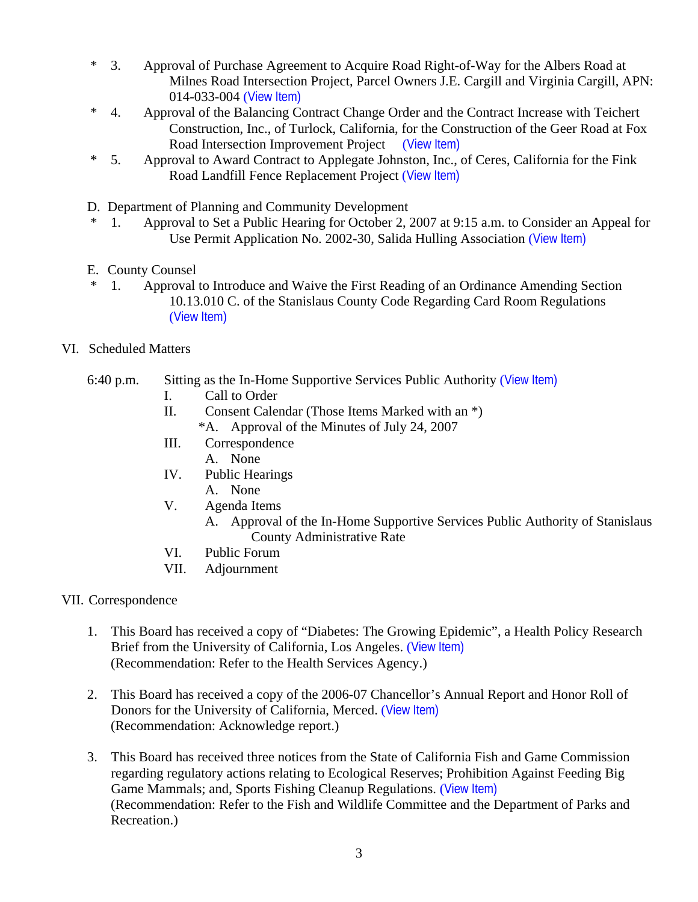- \* 3. Approval of Purchase Agreement to Acquire Road Right-of-Way for the Albers Road at Milnes Road Intersection Project, Parcel Owners J.E. Cargill and Virginia Cargill, APN: 014-033-004 ([View Item\)](http://www.co.stanislaus.ca.us/bos/agenda/2007/20070918/C03.pdf)
- \* 4. Approval of the Balancing Contract Change Order and the Contract Increase with Teichert Construction, Inc., of Turlock, California, for the Construction of the Geer Road at Fox Road Intersection Improvement Project ([View Item\)](http://www.co.stanislaus.ca.us/bos/agenda/2007/20070918/C04.pdf)
- \* 5. Approval to Award Contract to Applegate Johnston, Inc., of Ceres, California for the Fink Road Landfill Fence Replacement Project ([View Item\)](http://www.co.stanislaus.ca.us/bos/agenda/2007/20070918/C05.pdf)
- D. Department of Planning and Community Development
- \* 1. Approval to Set a Public Hearing for October 2, 2007 at 9:15 a.m. to Consider an Appeal for Use Permit Application No. 2002-30, Salida Hulling Association ([View Item\)](http://www.co.stanislaus.ca.us/bos/agenda/2007/20070918/D01.pdf)
- E. County Counsel
- \* 1. Approval to Introduce and Waive the First Reading of an Ordinance Amending Section 10.13.010 C. of the Stanislaus County Code Regarding Card Room Regulations ([View Item\)](http://www.co.stanislaus.ca.us/bos/agenda/2007/20070918/E01.pdf)
- VI. Scheduled Matters

### 6:40 p.m. Sitting as the In-Home Supportive Services Public Authority ([View Item\)](http://www.co.stanislaus.ca.us/bos/agenda/2007/20070918/PH640.pdf)

- I. Call to Order
- II. Consent Calendar (Those Items Marked with an \*)
	- \*A. Approval of the Minutes of July 24, 2007
- III. Correspondence A. None
- IV. Public Hearings A. None
- V. Agenda Items
	- A. Approval of the In-Home Supportive Services Public Authority of Stanislaus County Administrative Rate
- VI. Public Forum
- VII. Adjournment
- VII. Correspondence
	- 1. This Board has received a copy of "Diabetes: The Growing Epidemic", a Health Policy Research Brief from the University of California, Los Angeles. ([View Item\)](http://www.co.stanislaus.ca.us/bos/agenda/2007/20070918/Corr01.pdf) (Recommendation: Refer to the Health Services Agency.)
	- 2. This Board has received a copy of the 2006-07 Chancellor's Annual Report and Honor Roll of Donors for the University of California, Merced. ([View Item\)](http://www.co.stanislaus.ca.us/bos/agenda/2007/20070918/Corr02.pdf) (Recommendation: Acknowledge report.)
	- 3. This Board has received three notices from the State of California Fish and Game Commission regarding regulatory actions relating to Ecological Reserves; Prohibition Against Feeding Big Game Mammals; and, Sports Fishing Cleanup Regulations. ([View Item\)](http://www.co.stanislaus.ca.us/bos/agenda/2007/20070918/Corr03.pdf) (Recommendation: Refer to the Fish and Wildlife Committee and the Department of Parks and Recreation.)